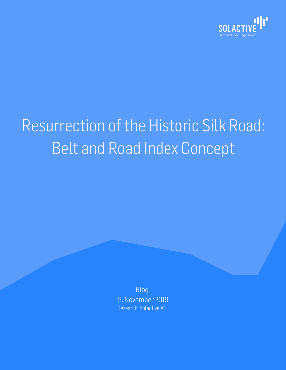

# Resurrection of the Historic Silk Road: Belt and Road Index Concept

Blog 19. November 2019 Research, Solactive AG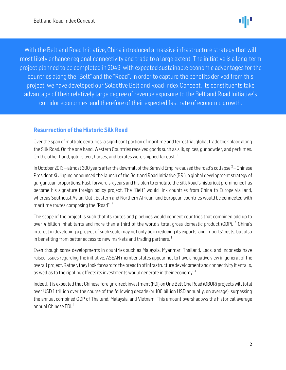l Í l .<br>C With the Belt and Road Initiative, China introduced a massive infrastructure strategy that will most likely enhance regional connectivity and trade to a large extent. The initiative is a long-term project planned to be completed in 2049, with expected sustainable economic advantages for the countries along the "Belt" and the "Road". In order to capture the benefits derived from this project, we have developed our Solactive Belt and Road Index Concept. Its constituents take advantage of their relatively large degree of revenue exposure to the Belt and Road Initiative's corridor economies, and therefore of their expected fast rate of economic growth.

# Resurrection of the Historic Silk Road

Over the span of multiple centuries, a significant portion of maritime and terrestrial global trade took place along the Silk Road. On the one hand, Western Countries received goods such as silk, spices, gunpowder, and perfumes. On the other hand, gold, silver, horses, and textiles were shipped far east.<sup>1</sup>

In October 2013 – almost 300 years after the downfall of the Safavid Empire caused the road's collapse  $^2-$ Chinese President Xi Jinping announced the launch of the Belt and Road Initiative (BRI), a global development strategy of gargantuan proportions. Fast-forward six years and his plan to emulate the Silk Road's historical prominence has become his signature foreign policy project. The "Belt" would link countries from China to Europe via land, whereas Southeast Asian, Gulf, Eastern and Northern African, and European countries would be connected with maritime routes composing the "Road".<sup>3</sup>

The scope of the project is such that its routes and pipelines would connect countries that combined add up to over 4 billion inhabitants and more than a third of the world's total gross domestic product (GDP). <sup>4</sup> China's interest in developing a project of such scale may not only lie in reducing its exports' and imports' costs, but also in benefiting from better access to new markets and trading partners.<sup>1</sup>

Even though some developments in countries such as Malaysia, Myanmar, Thailand, Laos, and Indonesia have raised issues regarding the initiative, ASEAN member states appear not to have a negative view in general of the overall project. Rather, they look forward to the breadth of infrastructure development and connectivity it entails, as well as to the rippling effects its investments would generate in their economy. <sup>4</sup>

Indeed, it is expected that Chinese foreign direct investment (FDI) on One Belt One Road (OBOR) projects will total over USD 1 trillion over the course of the following decade (or 100 billion USD annually, on average), surpassing the annual combined GDP of Thailand, Malaysia, and Vietnam. This amount overshadows the historical average annual Chinese FDI.<sup>1</sup>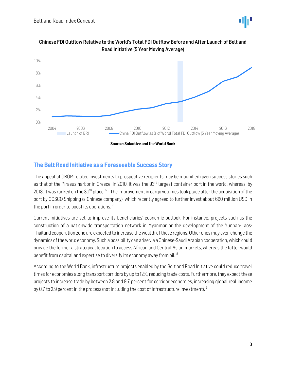



Chinese FDI Outflow Relative to the World's Total FDI Outflow Before and After Launch of Belt and Road Initiative (5 Year Moving Average)

# The Belt Road Initiative as a Foreseeable Success Story

The appeal of OBOR-related investments to prospective recipients may be magnified given success stories such as that of the Piraeus harbor in Greece. In 2010, it was the 93<sup>rd</sup> largest container port in the world, whereas, by 2018, it was ranked on the 30<sup>th</sup> place. <sup>56</sup> The improvement in cargo volumes took place after the acquisition of the port by COSCO Shipping (a Chinese company), which recently agreed to further invest about 660 million USD in the port in order to boost its operations.<sup>7</sup>

Current initiatives are set to improve its beneficiaries' economic outlook. For instance, projects such as the construction of a nationwide transportation network in Myanmar or the development of the Yunnan-Laos-Thailand cooperation zone are expected to increase the wealth of these regions. Other ones may even change the dynamics of the world economy. Such a possibility can arise via a Chinese-Saudi Arabian cooperation, which could provide the former a strategical location to access African and Central Asian markets, whereas the latter would benefit from capital and expertise to diversify its economy away from oil. <sup>8</sup>

According to the World Bank, infrastructure projects enabled by the Belt and Road Initiative could reduce travel times for economies along transport corridors by up to 12%, reducing trade costs. Furthermore, they expect these projects to increase trade by between 2.8 and 9.7 percent for corridor economies, increasing global real income by 0.7 to 2.9 percent in the process (not including the cost of infrastructure investment).  $3$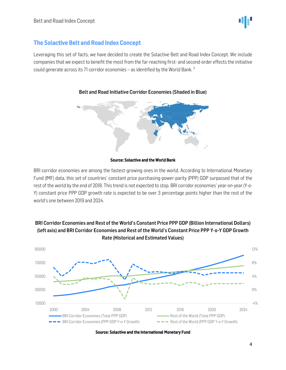

# The Solactive Belt and Road Index Concept

Leveraging this set of facts, we have decided to create the Solactive Belt and Road Index Concept. We include companies that we expect to benefit the most from the far-reaching first- and second-order effects the initiative could generate across its 71 corridor economies – as identified by the World Bank.<sup>3</sup>



### Belt and Road Initiative Corridor Economies (Shaded in Blue)

#### Source: Solactive and the World Bank

BRI corridor economies are among the fastest-growing ones in the world. According to International Monetary Fund (IMF) data, this set of countries' constant price purchasing-power-parity (PPP) GDP surpassed that of the rest of the world by the end of 2018. This trend is not expected to stop. BRI corridor economies' year-on-year (Y-o-Y) constant price PPP GDP growth rate is expected to be over 3 percentage points higher than the rest of the world's one between 2019 and 2024.



# BRI Corridor Economies and Rest of the World's Constant Price PPP GDP (Billion International Dollars) (left axis) and BRI Corridor Economies and Rest of the World's Constant Price PPP Y-o-Y GDP Growth Rate (Historical and Estimated Values)

Source: Solactive and the International Monetary Fund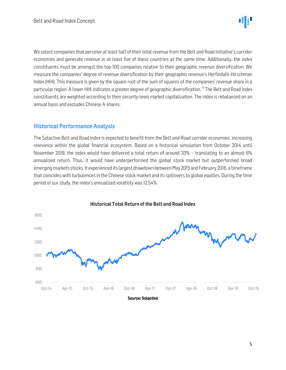

We select companies that perceive at least half of their total revenue from the Belt and Road Initiative's corridor economies and generate revenue in at least five of these countries at the same time. Additionally, the index constituents must be amongst the top-100 companies relative to their geographic revenue diversification. We measure the companies' degree of revenue diversification by their geographic revenue's Herfindahl-Hirschman Index (HHI). This measure is given by the square root of the sum of squares of the companies' revenue share in a particular region. A lower HHI indicates a greater degree of geographic diversification. <sup>9</sup> The Belt and Road Index constituents are weighted according to their security-level market capitalization. The index is rebalanced on an annual basis and excludes Chinese A-shares.

# Historical Performance Analysis

The Solactive Belt and Road Index is expected to benefit from the Belt and Road corridor economies' increasing relevance within the global financial ecosystem. Based on a historical simulation from October 2014 until November 2019, the index would have delivered a total return of around 33% – translating to an almost 6% annualized return. Thus, it would have underperformed the global stock market but outperformed broad emerging markets stocks. It experienced its largest drawdown between May 2015 and February 2016, a timeframe that coincides with turbulences in the Chinese stock market and its spillovers to global equities. During the time period of our study, the index's annualized volatility was 12.54%.



#### Historical Total Return of the Belt and Road Index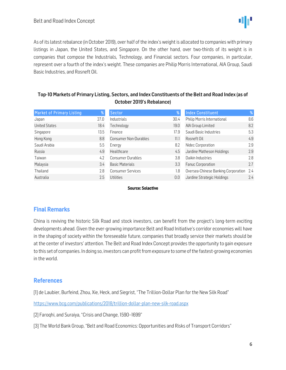

As of its latest rebalance (in October 2019), over half of the index's weight is allocated to companies with primary listings in Japan, the United States, and Singapore. On the other hand, over two-thirds of its weight is in companies that compose the Industrials, Technology, and Financial sectors. Four companies, in particular, represent over a fourth of the index's weight. These companies are Philip Morris International, AIA Group, Saudi Basic Industries, and Rosneft Oil.

# Top-10 Markets of Primary Listing, Sectors, and Index Constituents of the Belt and Road Index (as of October 2019's Rebalance)

| <b>Market of Primary Listing</b> | %    | Sector                       | %    | <b>Index Constituent</b>            | %    |
|----------------------------------|------|------------------------------|------|-------------------------------------|------|
| Japan                            | 27.0 | Industrials                  | 30.4 | Philip Morris International         | 8.6  |
| <b>United States</b>             | 18.4 | Technology                   | 19.0 | AIA Group Limited                   | 8.2  |
| Singapore                        | 13.5 | Finance                      | 17.9 | Saudi Basic Industries              | 5.3  |
| Hong Kong                        | 8.8  | <b>Consumer Non-Durables</b> | 11.1 | Rosneft Oil                         | 4.9  |
| Saudi Arabia                     | 5.5  | Energy                       | 8.2  | Nidec Corporation                   | 2.9  |
| Russia                           | 4.9  | Healthcare                   | 4.5  | Jardine Matheson Holdings           | 2.9  |
| Taiwan                           | 4.2  | <b>Consumer Durables</b>     | 3.8  | Daikin Industries                   | 2.8  |
| Malaysia                         | 3.4  | <b>Basic Materials</b>       | 3.3  | Fanuc Corporation                   | 2.7  |
| Thailand                         | 2.8  | <b>Consumer Services</b>     | 1.8  | Oversea-Chinese Banking Corporation | -2.4 |
| Australia                        | 2.5  | Utilities                    | 0.0  | Jardine Strategic Holdings          | 2.4  |

#### Source: Solactive

# Final Remarks

China is reviving the historic Silk Road and stock investors, can benefit from the project's long-term exciting developments ahead. Given the ever-growing importance Belt and Road Initiative's corridor economies will have in the shaping of society within the foreseeable future, companies that broadly service their markets should be at the center of investors' attention. The Belt and Road Index Concept provides the opportunity to gain exposure to this set of companies. In doing so, investors can profit from exposure to some of the fastest-growing economies in the world.

# References

[1] de Laubier, Burfeind, Zhou, Xie, Heck, and Siegrist, "The Trillion-Dollar Plan for the New Silk Road"

<https://www.bcg.com/publications/2018/trillion-dollar-plan-new-silk-road.aspx>

[2] Faroqhi, and Suraiya, "Crisis and Change, 1590–1699"

[3] The World Bank Group, "Belt and Road Economics: Opportunities and Risks of Transport Corridors"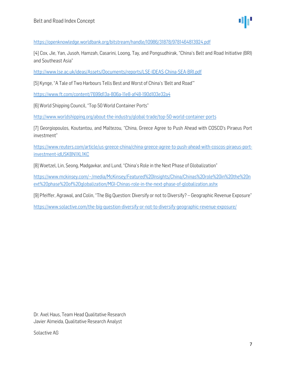<https://openknowledge.worldbank.org/bitstream/handle/10986/31878/9781464813924.pdf>

[4] Cox, Jie, Yan, Jusoh, Hamzah, Casarini, Loong, Tay, and Pongsudhirak, "China's Belt and Road Initiative (BRI) and Southeast Asia"

<http://www.lse.ac.uk/ideas/Assets/Documents/reports/LSE-IDEAS-China-SEA-BRI.pdf>

[5] Kynge, "A Tale of Two Harbours Tells Best and Worst of China's 'Belt and Road'"

<https://www.ft.com/content/7699d13a-806a-11e8-af48-190d103e32a4>

[6] World Shipping Council, "Top 50 World Container Ports"

<http://www.worldshipping.org/about-the-industry/global-trade/top-50-world-container-ports>

[7] Georgiopoulos, Koutantou, and Maltezou, "China, Greece Agree to Push Ahead with COSCO's Piraeus Port investment"

[https://www.reuters.com/article/us-greece-china/china-greece-agree-to-push-ahead-with-coscos-piraeus-port](https://www.reuters.com/article/us-greece-china/china-greece-agree-to-push-ahead-with-coscos-piraeus-port-investment-idUSKBN1XL1KC)[investment-idUSKBN1XL1KC](https://www.reuters.com/article/us-greece-china/china-greece-agree-to-push-ahead-with-coscos-piraeus-port-investment-idUSKBN1XL1KC)

[8] Woetzel, Lin, Seong, Madgavkar, and Lund, "China's Role in the Next Phase of Globalization"

[https://www.mckinsey.com/~/media/McKinsey/Featured%20Insights/China/Chinas%20role%20in%20the%20n](https://www.mckinsey.com/~/media/McKinsey/Featured%20Insights/China/Chinas%20role%20in%20the%20next%20phase%20of%20globalization/MGI-Chinas-role-in-the-next-phase-of-globalization.ashx) [ext%20phase%20of%20globalization/MGI-Chinas-role-in-the-next-phase-of-globalization.ashx](https://www.mckinsey.com/~/media/McKinsey/Featured%20Insights/China/Chinas%20role%20in%20the%20next%20phase%20of%20globalization/MGI-Chinas-role-in-the-next-phase-of-globalization.ashx)

[9] Pfeiffer, Agrawal, and Colin, "The Big Question: Diversify or not to Diversify? – Geographic Revenue Exposure"

<https://www.solactive.com/the-big-question-diversify-or-not-to-diversify-geographic-revenue-exposure/>

Dr. Axel Haus, Team Head Qualitative Research Javier Almeida, Qualitative Research Analyst

Solactive AG